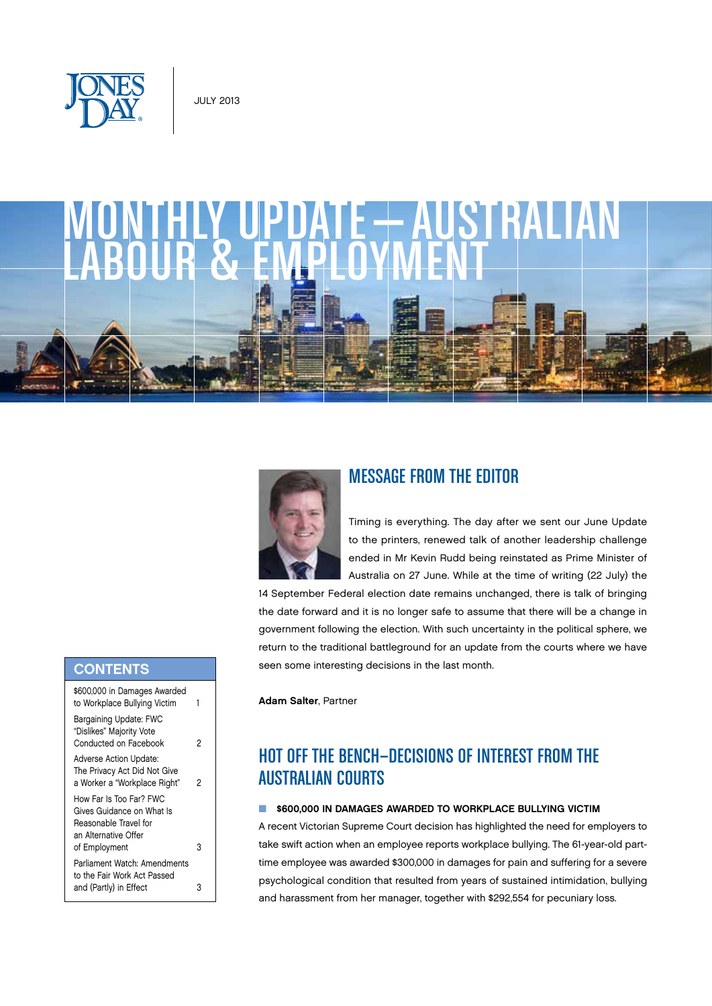

# monthly update—australian LABOUR & EMPLOYMENT



## Message from the Editor

Timing is everything. The day after we sent our June Update to the printers, renewed talk of another leadership challenge ended in Mr Kevin Rudd being reinstated as Prime Minister of Australia on 27 June. While at the time of writing (22 July) the

14 September Federal election date remains unchanged, there is talk of bringing the date forward and it is no longer safe to assume that there will be a change in government following the election. With such uncertainty in the political sphere, we return to the traditional battleground for an update from the courts where we have seen some interesting decisions in the last month.

Adam Salter, Partner

# Hot off the bench—Decisions of Interest from the Australian Courts

#### $\blacksquare$  \$600,000 IN DAMAGES AWARDED TO WORKPLACE BULLYING VICTIM

A recent Victorian Supreme Court decision has highlighted the need for employers to take swift action when an employee reports workplace bullying. The 61-year-old parttime employee was awarded \$300,000 in damages for pain and suffering for a severe psychological condition that resulted from years of sustained intimidation, bullying and harassment from her manager, together with \$292,554 for pecuniary loss.

#### **CONTENTS**

| \$600,000 in Damages Awarded<br>to Workplace Bullying Victim                                                           | 1 |
|------------------------------------------------------------------------------------------------------------------------|---|
| Bargaining Update: FWC<br>"Dislikes" Majority Vote<br>Conducted on Facebook                                            | 2 |
| Adverse Action Update:<br>The Privacy Act Did Not Give<br>a Worker a "Workplace Right"                                 | 2 |
| How Far Is Too Far? FWC<br>Gives Guidance on What Is<br>Reasonable Travel for<br>an Alternative Offer<br>of Employment | 3 |
| Parliament Watch: Amendments<br>to the Fair Work Act Passed<br>and (Partly) in Effect                                  | З |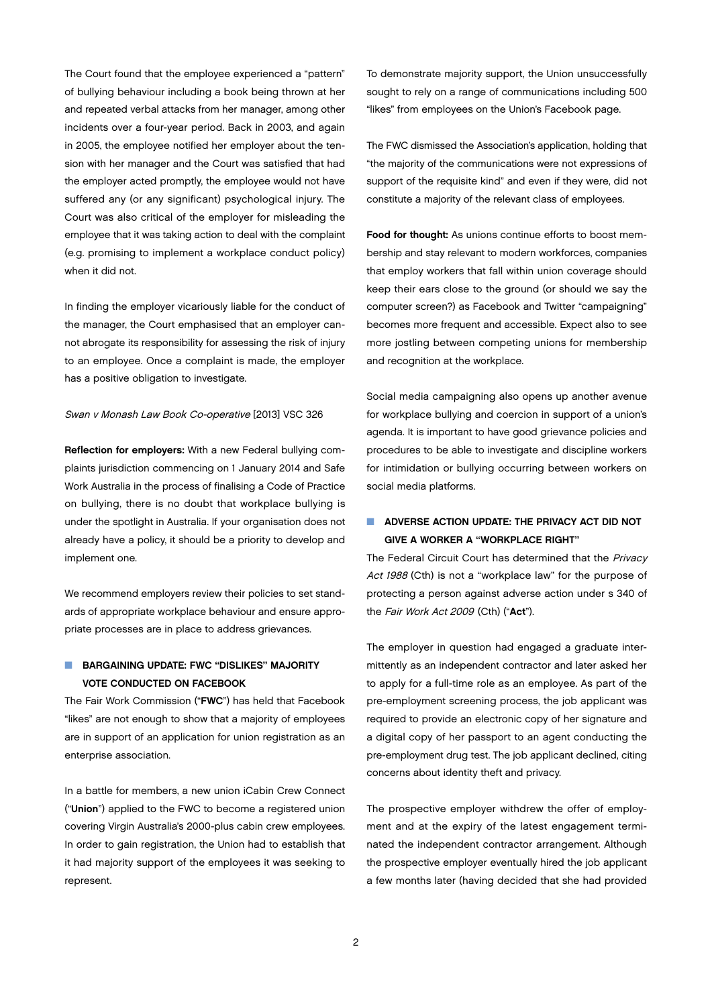The Court found that the employee experienced a "pattern" of bullying behaviour including a book being thrown at her and repeated verbal attacks from her manager, among other incidents over a four-year period. Back in 2003, and again in 2005, the employee notified her employer about the tension with her manager and the Court was satisfied that had the employer acted promptly, the employee would not have suffered any (or any significant) psychological injury. The Court was also critical of the employer for misleading the employee that it was taking action to deal with the complaint (e.g. promising to implement a workplace conduct policy) when it did not.

In finding the employer vicariously liable for the conduct of the manager, the Court emphasised that an employer cannot abrogate its responsibility for assessing the risk of injury to an employee. Once a complaint is made, the employer has a positive obligation to investigate.

#### Swan v Monash Law Book Co-operative [2013] VSC 326

Reflection for employers: With a new Federal bullying complaints jurisdiction commencing on 1 January 2014 and Safe Work Australia in the process of finalising a Code of Practice on bullying, there is no doubt that workplace bullying is under the spotlight in Australia. If your organisation does not already have a policy, it should be a priority to develop and implement one.

We recommend employers review their policies to set standards of appropriate workplace behaviour and ensure appropriate processes are in place to address grievances.

### **N** BARGAINING UPDATE: FWC "DISLIKES" MAJORITY Vote Conducted on Facebook

The Fair Work Commission ("FWC") has held that Facebook "likes" are not enough to show that a majority of employees are in support of an application for union registration as an enterprise association.

In a battle for members, a new union iCabin Crew Connect ("Union") applied to the FWC to become a registered union covering Virgin Australia's 2000-plus cabin crew employees. In order to gain registration, the Union had to establish that it had majority support of the employees it was seeking to represent.

To demonstrate majority support, the Union unsuccessfully sought to rely on a range of communications including 500 "likes" from employees on the Union's Facebook page.

The FWC dismissed the Association's application, holding that "the majority of the communications were not expressions of support of the requisite kind" and even if they were, did not constitute a majority of the relevant class of employees.

Food for thought: As unions continue efforts to boost membership and stay relevant to modern workforces, companies that employ workers that fall within union coverage should keep their ears close to the ground (or should we say the computer screen?) as Facebook and Twitter "campaigning" becomes more frequent and accessible. Expect also to see more jostling between competing unions for membership and recognition at the workplace.

Social media campaigning also opens up another avenue for workplace bullying and coercion in support of a union's agenda. It is important to have good grievance policies and procedures to be able to investigate and discipline workers for intimidation or bullying occurring between workers on social media platforms.

## **NUMBER ACTION UPDATE: THE PRIVACY ACT DID NOT** Give a Worker a "Workplace Right"

The Federal Circuit Court has determined that the Privacy Act 1988 (Cth) is not a "workplace law" for the purpose of protecting a person against adverse action under s 340 of the Fair Work Act 2009 (Cth) ("Act").

The employer in question had engaged a graduate intermittently as an independent contractor and later asked her to apply for a full-time role as an employee. As part of the pre-employment screening process, the job applicant was required to provide an electronic copy of her signature and a digital copy of her passport to an agent conducting the pre-employment drug test. The job applicant declined, citing concerns about identity theft and privacy.

The prospective employer withdrew the offer of employment and at the expiry of the latest engagement terminated the independent contractor arrangement. Although the prospective employer eventually hired the job applicant a few months later (having decided that she had provided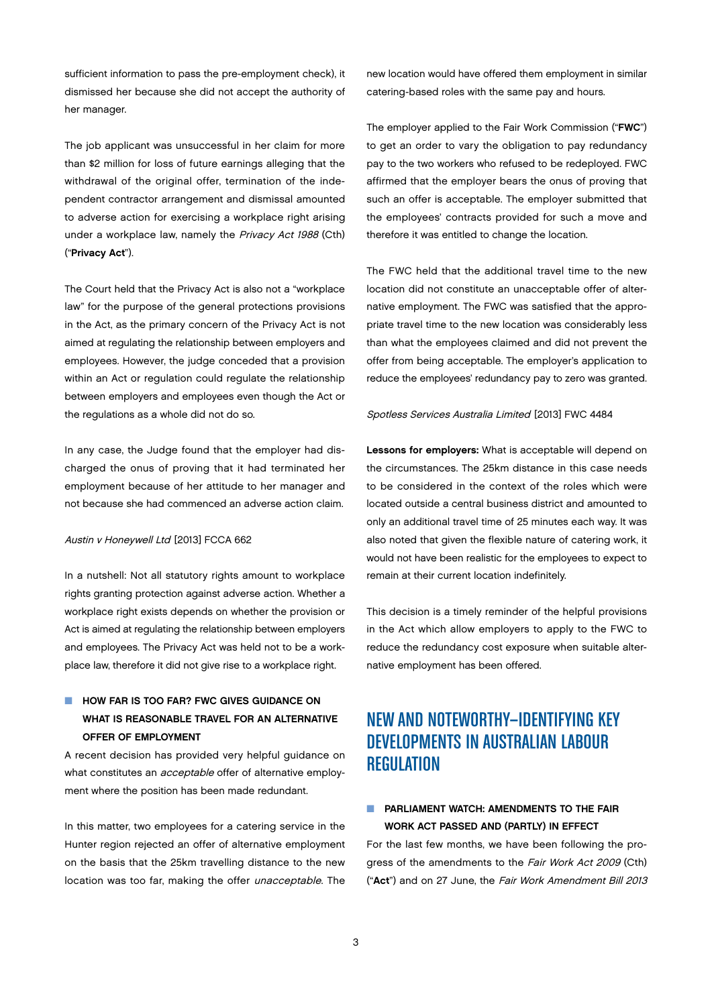sufficient information to pass the pre-employment check), it dismissed her because she did not accept the authority of her manager.

The job applicant was unsuccessful in her claim for more than \$2 million for loss of future earnings alleging that the withdrawal of the original offer, termination of the independent contractor arrangement and dismissal amounted to adverse action for exercising a workplace right arising under a workplace law, namely the Privacy Act 1988 (Cth) ("Privacy Act").

The Court held that the Privacy Act is also not a "workplace law" for the purpose of the general protections provisions in the Act, as the primary concern of the Privacy Act is not aimed at regulating the relationship between employers and employees. However, the judge conceded that a provision within an Act or regulation could regulate the relationship between employers and employees even though the Act or the regulations as a whole did not do so.

In any case, the Judge found that the employer had discharged the onus of proving that it had terminated her employment because of her attitude to her manager and not because she had commenced an adverse action claim.

#### Austin v Honeywell Ltd [2013] FCCA 662

In a nutshell: Not all statutory rights amount to workplace rights granting protection against adverse action. Whether a workplace right exists depends on whether the provision or Act is aimed at regulating the relationship between employers and employees. The Privacy Act was held not to be a workplace law, therefore it did not give rise to a workplace right.

## **NOW FAR IS TOO FAR? FWC GIVES GUIDANCE ON** WHAT IS REASONABLE TRAVEL FOR AN ALTERNATIVE Offer of Employment

A recent decision has provided very helpful guidance on what constitutes an *acceptable* offer of alternative employment where the position has been made redundant.

In this matter, two employees for a catering service in the Hunter region rejected an offer of alternative employment on the basis that the 25km travelling distance to the new location was too far, making the offer unacceptable. The

new location would have offered them employment in similar catering-based roles with the same pay and hours.

The employer applied to the Fair Work Commission ("FWC") to get an order to vary the obligation to pay redundancy pay to the two workers who refused to be redeployed. FWC affirmed that the employer bears the onus of proving that such an offer is acceptable. The employer submitted that the employees' contracts provided for such a move and therefore it was entitled to change the location.

The FWC held that the additional travel time to the new location did not constitute an unacceptable offer of alternative employment. The FWC was satisfied that the appropriate travel time to the new location was considerably less than what the employees claimed and did not prevent the offer from being acceptable. The employer's application to reduce the employees' redundancy pay to zero was granted.

#### Spotless Services Australia Limited [2013] FWC 4484

Lessons for employers: What is acceptable will depend on the circumstances. The 25km distance in this case needs to be considered in the context of the roles which were located outside a central business district and amounted to only an additional travel time of 25 minutes each way. It was also noted that given the flexible nature of catering work, it would not have been realistic for the employees to expect to remain at their current location indefinitely.

This decision is a timely reminder of the helpful provisions in the Act which allow employers to apply to the FWC to reduce the redundancy cost exposure when suitable alternative employment has been offered.

# New and noteworthy—IDENTIFYING KEY DEVELOPMENTS IN AUSTRALIAN LABOUR **REGULATION**

## $\blacksquare$  PARLIAMENT WATCH: AMENDMENTS TO THE FAIR Work Act Passed and (Partly) in Effect

For the last few months, we have been following the progress of the amendments to the Fair Work Act 2009 (Cth) ("Act") and on 27 June, the Fair Work Amendment Bill 2013